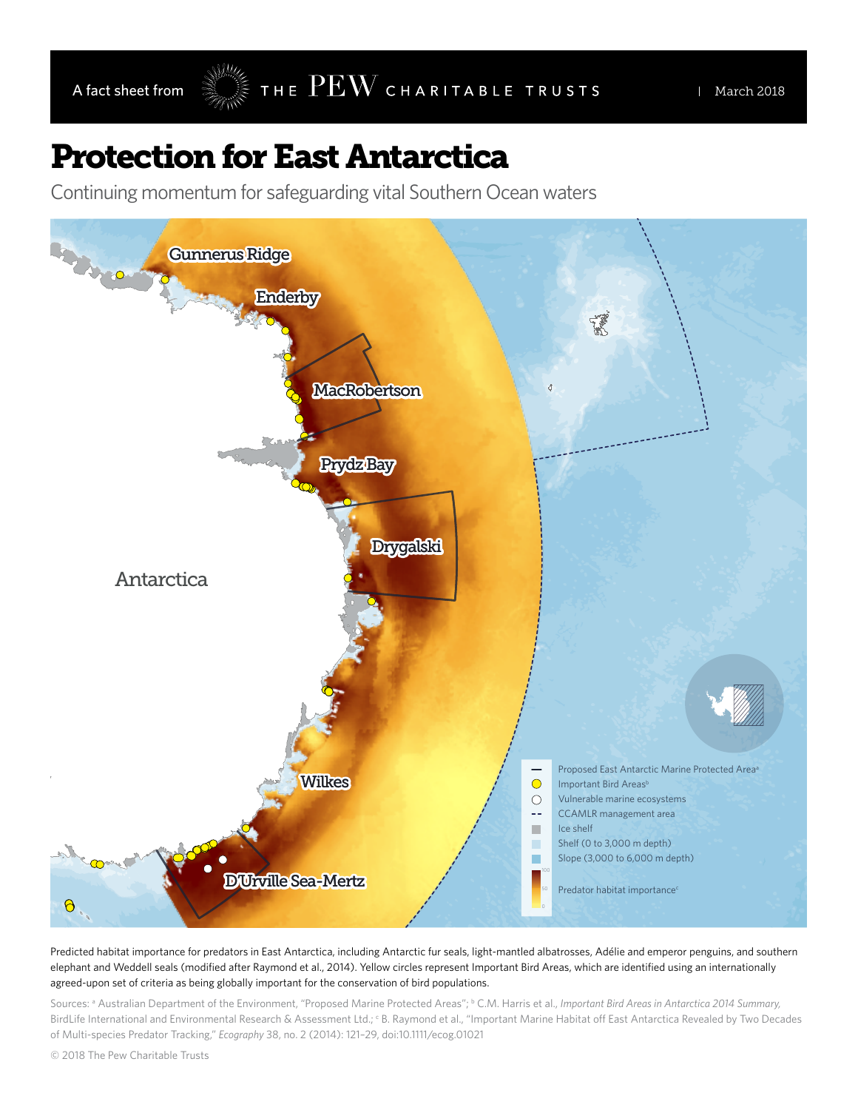## Protection for East Antarctica

Continuing momentum for safeguarding vital Southern Ocean waters



Predicted habitat importance for predators in East Antarctica, including Antarctic fur seals, light-mantled albatrosses, Adélie and emperor penguins, and southern elephant and Weddell seals (modified after Raymond et al., 2014). Yellow circles represent Important Bird Areas, which are identified using an internationally agreed-upon set of criteria as being globally important for the conservation of bird populations.

Sources: ª Australian Department of the Environment, "Proposed Marine Protected Areas"; <sup>b</sup> C.M. Harris et al., *Important Bird Areas in Antarctica 2014 Summary,* BirdLife International and Environmental Research & Assessment Ltd.; EB. Raymond et al., "Important Marine Habitat off East Antarctica Revealed by Two Decades of Multi-species Predator Tracking," *Ecography* 38, no. 2 (2014): 121–29, doi:10.1111/ecog.01021